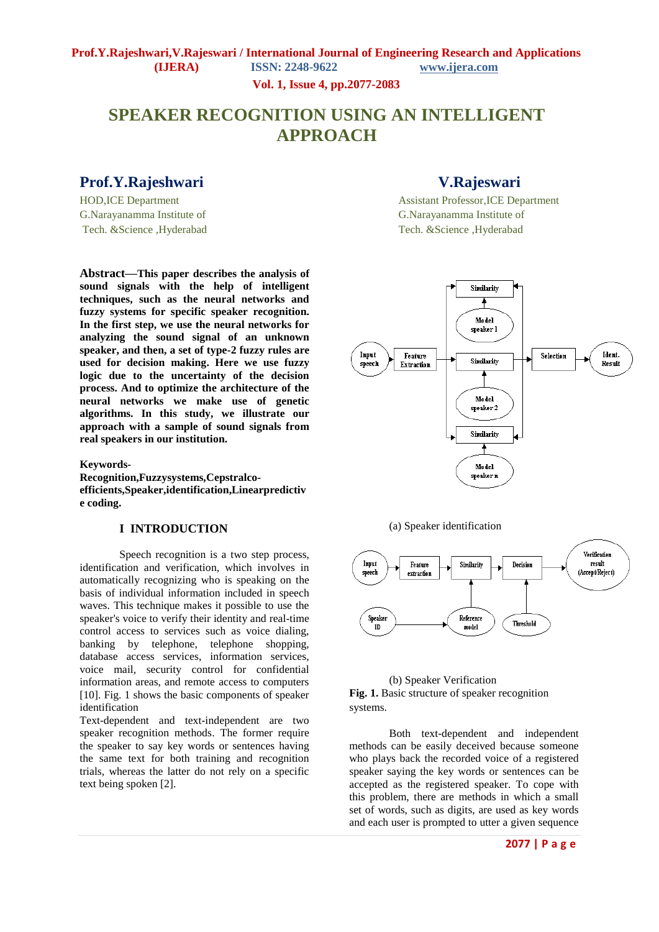**Vol. 1, Issue 4, pp.2077-2083**

# **SPEAKER RECOGNITION USING AN INTELLIGENT APPROACH**

**Prof.Y.Rajeshwari V.Rajeswari**

G.Narayanamma Institute of G.Narayanamma Institute of Tech. &Science ,Hyderabad Tech. &Science ,Hyderabad

**Abstract—This paper describes the analysis of sound signals with the help of intelligent techniques, such as the neural networks and fuzzy systems for specific speaker recognition. In the first step, we use the neural networks for analyzing the sound signal of an unknown speaker, and then, a set of type-2 fuzzy rules are used for decision making. Here we use fuzzy logic due to the uncertainty of the decision process. And to optimize the architecture of the neural networks we make use of genetic algorithms. In this study, we illustrate our approach with a sample of sound signals from real speakers in our institution.** 

**Keywords-Recognition,Fuzzysystems,Cepstralcoefficients,Speaker,identification,Linearpredictiv e coding.**

# **I INTRODUCTION**

Speech recognition is a two step process, identification and verification, which involves in automatically recognizing who is speaking on the basis of individual information included in speech waves. This technique makes it possible to use the speaker's voice to verify their identity and real-time control access to services such as voice dialing, banking by telephone, telephone shopping, database access services, information services, voice mail, security control for confidential information areas, and remote access to computers [10]. Fig. 1 shows the basic components of speaker identification

Text-dependent and text-independent are two speaker recognition methods. The former require the speaker to say key words or sentences having the same text for both training and recognition trials, whereas the latter do not rely on a specific text being spoken [2].

HOD,ICE Department Assistant Professor,ICE Department









Both text-dependent and independent methods can be easily deceived because someone who plays back the recorded voice of a registered speaker saying the key words or sentences can be accepted as the registered speaker. To cope with this problem, there are methods in which a small set of words, such as digits, are used as key words and each user is prompted to utter a given sequence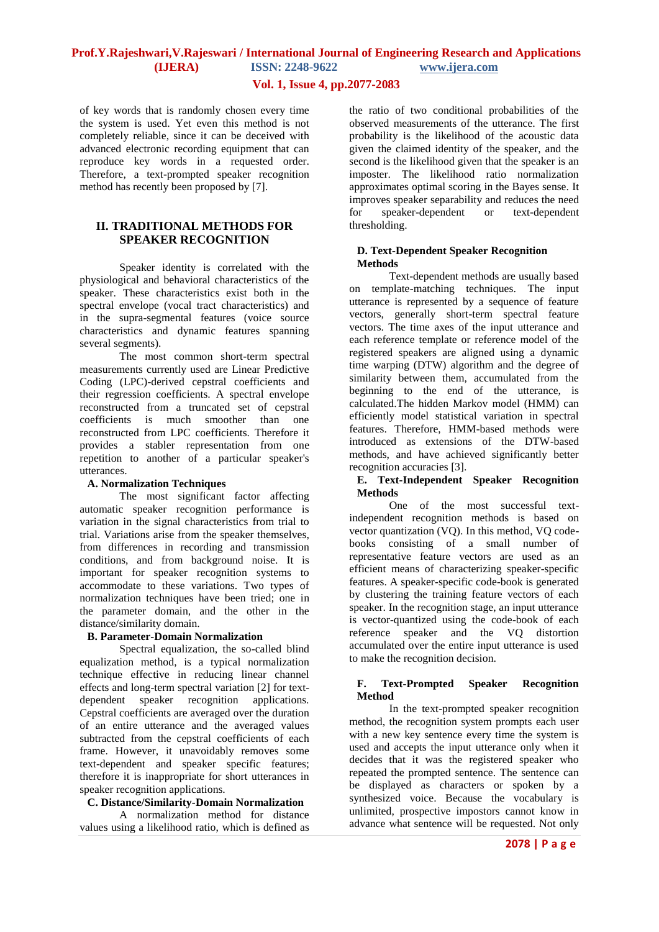# **Vol. 1, Issue 4, pp.2077-2083**

of key words that is randomly chosen every time the system is used. Yet even this method is not completely reliable, since it can be deceived with advanced electronic recording equipment that can reproduce key words in a requested order. Therefore, a text-prompted speaker recognition method has recently been proposed by [7].

# **II. TRADITIONAL METHODS FOR SPEAKER RECOGNITION**

Speaker identity is correlated with the physiological and behavioral characteristics of the speaker. These characteristics exist both in the spectral envelope (vocal tract characteristics) and in the supra-segmental features (voice source characteristics and dynamic features spanning several segments).

The most common short-term spectral measurements currently used are Linear Predictive Coding (LPC)-derived cepstral coefficients and their regression coefficients. A spectral envelope reconstructed from a truncated set of cepstral coefficients is much smoother than one reconstructed from LPC coefficients. Therefore it provides a stabler representation from one repetition to another of a particular speaker's utterances.

### **A. Normalization Techniques**

The most significant factor affecting automatic speaker recognition performance is variation in the signal characteristics from trial to trial. Variations arise from the speaker themselves, from differences in recording and transmission conditions, and from background noise. It is important for speaker recognition systems to accommodate to these variations. Two types of normalization techniques have been tried; one in the parameter domain, and the other in the distance/similarity domain.

### **B. Parameter-Domain Normalization**

Spectral equalization, the so-called blind equalization method, is a typical normalization technique effective in reducing linear channel effects and long-term spectral variation [2] for textdependent speaker recognition applications. Cepstral coefficients are averaged over the duration of an entire utterance and the averaged values subtracted from the cepstral coefficients of each frame. However, it unavoidably removes some text-dependent and speaker specific features; therefore it is inappropriate for short utterances in speaker recognition applications.

### **C. Distance/Similarity-Domain Normalization**

A normalization method for distance values using a likelihood ratio, which is defined as

the ratio of two conditional probabilities of the observed measurements of the utterance. The first probability is the likelihood of the acoustic data given the claimed identity of the speaker, and the second is the likelihood given that the speaker is an imposter. The likelihood ratio normalization approximates optimal scoring in the Bayes sense. It improves speaker separability and reduces the need for speaker-dependent or text-dependent thresholding.

### **D. Text-Dependent Speaker Recognition Methods**

Text-dependent methods are usually based on template-matching techniques. The input utterance is represented by a sequence of feature vectors, generally short-term spectral feature vectors. The time axes of the input utterance and each reference template or reference model of the registered speakers are aligned using a dynamic time warping (DTW) algorithm and the degree of similarity between them, accumulated from the beginning to the end of the utterance, is calculated.The hidden Markov model (HMM) can efficiently model statistical variation in spectral features. Therefore, HMM-based methods were introduced as extensions of the DTW-based methods, and have achieved significantly better recognition accuracies [3].

## **E. Text-Independent Speaker Recognition Methods**

One of the most successful textindependent recognition methods is based on vector quantization (VQ). In this method, VQ codebooks consisting of a small number of representative feature vectors are used as an efficient means of characterizing speaker-specific features. A speaker-specific code-book is generated by clustering the training feature vectors of each speaker. In the recognition stage, an input utterance is vector-quantized using the code-book of each reference speaker and the VQ distortion accumulated over the entire input utterance is used to make the recognition decision.

### **F. Text-Prompted Speaker Recognition Method**

In the text-prompted speaker recognition method, the recognition system prompts each user with a new key sentence every time the system is used and accepts the input utterance only when it decides that it was the registered speaker who repeated the prompted sentence. The sentence can be displayed as characters or spoken by a synthesized voice. Because the vocabulary is unlimited, prospective impostors cannot know in advance what sentence will be requested. Not only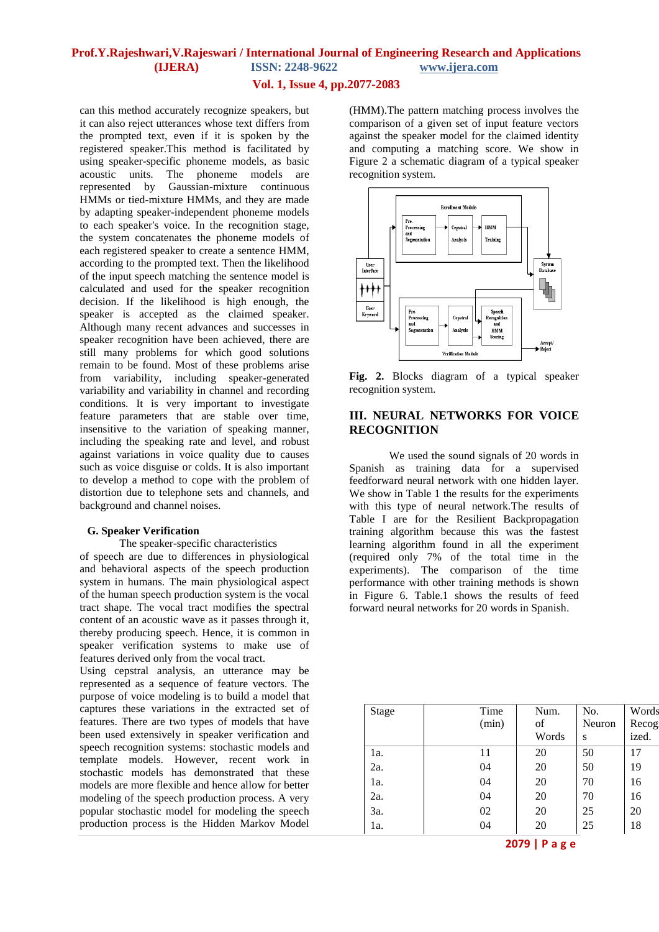# **Vol. 1, Issue 4, pp.2077-2083**

can this method accurately recognize speakers, but it can also reject utterances whose text differs from the prompted text, even if it is spoken by the registered speaker.This method is facilitated by using speaker-specific phoneme models, as basic acoustic units. The phoneme models are represented by Gaussian-mixture continuous HMMs or tied-mixture HMMs, and they are made by adapting speaker-independent phoneme models to each speaker's voice. In the recognition stage, the system concatenates the phoneme models of each registered speaker to create a sentence HMM, according to the prompted text. Then the likelihood of the input speech matching the sentence model is calculated and used for the speaker recognition decision. If the likelihood is high enough, the speaker is accepted as the claimed speaker. Although many recent advances and successes in speaker recognition have been achieved, there are still many problems for which good solutions remain to be found. Most of these problems arise from variability, including speaker-generated variability and variability in channel and recording conditions. It is very important to investigate feature parameters that are stable over time, insensitive to the variation of speaking manner, including the speaking rate and level, and robust against variations in voice quality due to causes such as voice disguise or colds. It is also important to develop a method to cope with the problem of distortion due to telephone sets and channels, and background and channel noises.

#### **G. Speaker Verification**

The speaker-specific characteristics

of speech are due to differences in physiological and behavioral aspects of the speech production system in humans. The main physiological aspect of the human speech production system is the vocal tract shape. The vocal tract modifies the spectral content of an acoustic wave as it passes through it, thereby producing speech. Hence, it is common in speaker verification systems to make use of features derived only from the vocal tract.

Using cepstral analysis, an utterance may be represented as a sequence of feature vectors. The purpose of voice modeling is to build a model that captures these variations in the extracted set of features. There are two types of models that have been used extensively in speaker verification and speech recognition systems: stochastic models and template models. However, recent work in stochastic models has demonstrated that these models are more flexible and hence allow for better modeling of the speech production process. A very popular stochastic model for modeling the speech production process is the Hidden Markov Model

(HMM).The pattern matching process involves the comparison of a given set of input feature vectors against the speaker model for the claimed identity and computing a matching score. We show in Figure 2 a schematic diagram of a typical speaker recognition system.



**Fig. 2.** Blocks diagram of a typical speaker recognition system.

### **III. NEURAL NETWORKS FOR VOICE RECOGNITION**

We used the sound signals of 20 words in Spanish as training data for a supervised feedforward neural network with one hidden layer. We show in Table 1 the results for the experiments with this type of neural network.The results of Table I are for the Resilient Backpropagation training algorithm because this was the fastest learning algorithm found in all the experiment (required only 7% of the total time in the experiments). The comparison of the time performance with other training methods is shown in Figure 6. Table.1 shows the results of feed forward neural networks for 20 words in Spanish.

| <b>Stage</b> | Time<br>(min) | Num.<br>of<br>Words | No.<br>Neuron<br>S | Words<br>Recog<br>ized. |
|--------------|---------------|---------------------|--------------------|-------------------------|
| 1a.          | 11            | 20                  | 50                 | 17                      |
| 2a.          | 04            | 20                  | 50                 | 19                      |
| 1a.          | 04            | 20                  | 70                 | 16                      |
| 2a.          | 04            | 20                  | 70                 | 16                      |
| 3a.          | 02            | 20                  | 25                 | 20                      |
| 1a.          | 04            | 20                  | 25                 | 18                      |

**2079 | P a g e**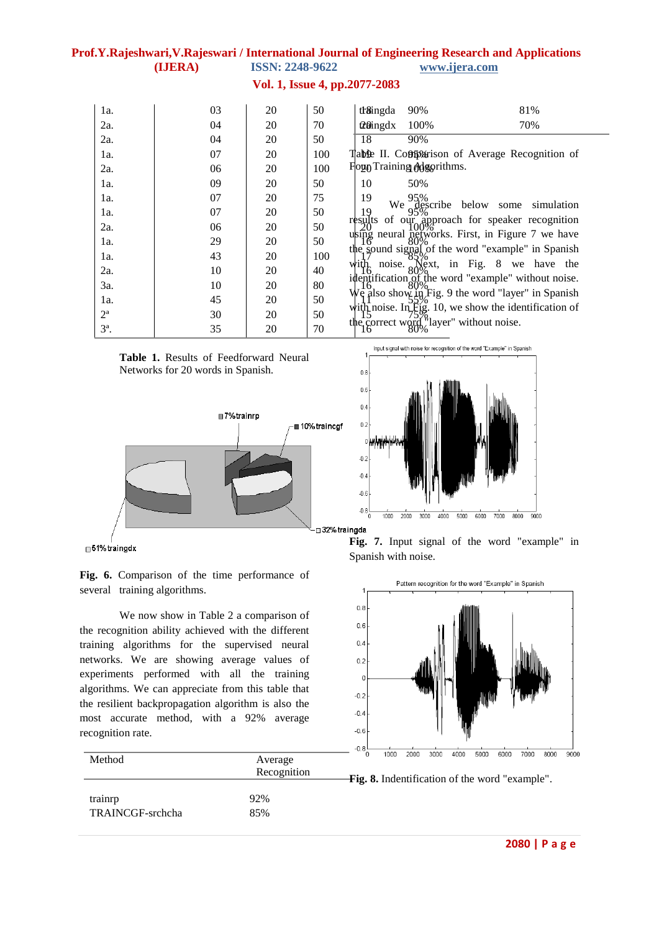| 1a.              | 03 | 20 | 50  | traingda<br>81%<br>90%                                                                           |
|------------------|----|----|-----|--------------------------------------------------------------------------------------------------|
| 2a.              | 04 | 20 | 70  | 100%<br>$\hat{u}$ bingdx<br>70%                                                                  |
| 2a.              | 04 | 20 | 50  | 90%<br>18                                                                                        |
| 1a.              | 07 | 20 | 100 | Table II. Composition of Average Recognition of                                                  |
| 2a.              | 06 | 20 | 100 | Floun Training Adgorithms.                                                                       |
| 1a.              | 09 | 20 | 50  | 10<br>50%                                                                                        |
| 1a.              | 07 | 20 | 75  | 19<br>95%<br>simulation                                                                          |
| 1a.              | 07 | 20 | 50  | We $\frac{3}{95\%}$ describe below some<br>19<br>results of our approach for speaker recognition |
| 2a.              | 06 | 20 | 50  |                                                                                                  |
| 1a.              | 29 | 20 | 50  | using neural networks. First, in Figure 7 we have                                                |
| 1a.              | 43 | 20 | 100 | the sound signal of the word "example" in Spanish                                                |
| 2a.              | 10 | 20 | 40  | Next, in Fig. 8 we have the<br>noise. $\circ$<br>with_                                           |
| 3a.              | 10 | 20 | 80  | identification of the word "example" without noise.                                              |
| 1a.              | 45 | 20 | 50  | $\psi$ also show in Fig. 9 the word "layer" in Spanish                                           |
| $2^{\mathrm{a}}$ | 30 | 20 | 50  | with noise. In $Eig$ , 10, we show the identification of                                         |
| $3a$ .           | 35 | 20 | 70  | the correct word "layer" without noise.                                                          |

# **Vol. 1, Issue 4, pp.2077-2083**



□51% traingdx

**Fig. 6.** Comparison of the time performance of several training algorithms.

We now show in Table 2 a comparison of the recognition ability achieved with the different training algorithms for the supervised neural networks. We are showing average values of experiments performed with all the training algorithms. We can appreciate from this table that the resilient backpropagation algorithm is also the most accurate method, with a 92% average recognition rate.

**Fig. 7.** Input signal of the word "example" in Spanish with noise.



| Method                      | Average<br>Recognition | Fig. 8. Indentification of the word "example". |  |  |  |  |  |
|-----------------------------|------------------------|------------------------------------------------|--|--|--|--|--|
| trainrp<br>TRAINCGF-srchcha | 92%<br>85%             |                                                |  |  |  |  |  |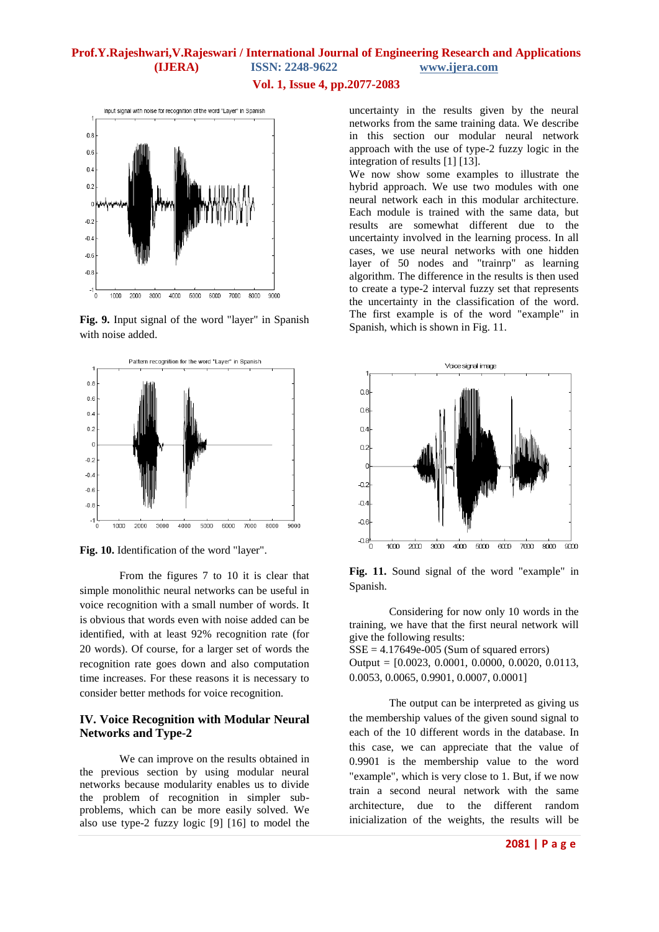# **Vol. 1, Issue 4, pp.2077-2083**



**Fig. 9.** Input signal of the word "layer" in Spanish with noise added.



Fig. 10. Identification of the word "layer".

From the figures 7 to 10 it is clear that simple monolithic neural networks can be useful in voice recognition with a small number of words. It is obvious that words even with noise added can be identified, with at least 92% recognition rate (for 20 words). Of course, for a larger set of words the recognition rate goes down and also computation time increases. For these reasons it is necessary to consider better methods for voice recognition.

# **IV. Voice Recognition with Modular Neural Networks and Type-2**

We can improve on the results obtained in the previous section by using modular neural networks because modularity enables us to divide the problem of recognition in simpler subproblems, which can be more easily solved. We also use type-2 fuzzy logic [9] [16] to model the

uncertainty in the results given by the neural networks from the same training data. We describe in this section our modular neural network approach with the use of type-2 fuzzy logic in the integration of results [1] [13].

We now show some examples to illustrate the hybrid approach. We use two modules with one neural network each in this modular architecture. Each module is trained with the same data, but results are somewhat different due to the uncertainty involved in the learning process. In all cases, we use neural networks with one hidden layer of 50 nodes and "trainrp" as learning algorithm. The difference in the results is then used to create a type-2 interval fuzzy set that represents the uncertainty in the classification of the word. The first example is of the word "example" in Spanish, which is shown in Fig. 11.



**Fig. 11.** Sound signal of the word "example" in Spanish.

Considering for now only 10 words in the training, we have that the first neural network will give the following results:  $SSE = 4.17649e-005$  (Sum of squared errors) Output = [0.0023, 0.0001, 0.0000, 0.0020, 0.0113, 0.0053, 0.0065, 0.9901, 0.0007, 0.0001]

The output can be interpreted as giving us the membership values of the given sound signal to each of the 10 different words in the database. In this case, we can appreciate that the value of 0.9901 is the membership value to the word "example", which is very close to 1. But, if we now train a second neural network with the same architecture, due to the different random inicialization of the weights, the results will be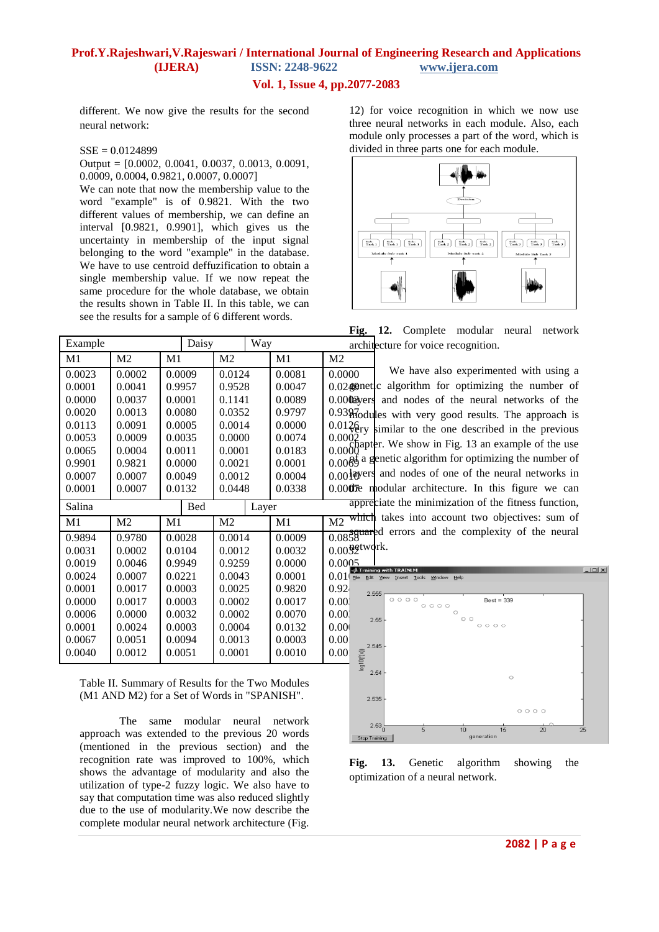**Vol. 1, Issue 4, pp.2077-2083**

different. We now give the results for the second neural network:

#### $SSE = 0.0124899$

# Output = [0.0002, 0.0041, 0.0037, 0.0013, 0.0091,

0.0009, 0.0004, 0.9821, 0.0007, 0.0007]

We can note that now the membership value to the word "example" is of 0.9821. With the two different values of membership, we can define an interval [0.9821, 0.9901], which gives us the uncertainty in membership of the input signal belonging to the word "example" in the database. We have to use centroid deffuzification to obtain a single membership value. If we now repeat the same procedure for the whole database, we obtain the results shown in Table II. In this table, we can see the results for a sample of 6 different words.

| Example        |                |        | Daisy      |                | Way |                |      |  |  |
|----------------|----------------|--------|------------|----------------|-----|----------------|------|--|--|
| M <sub>1</sub> | M <sub>2</sub> | M1     |            | M <sub>2</sub> |     | M1             | M2   |  |  |
| 0.0023         | 0.0002         | 0.0009 |            | 0.0124         |     | 0.0081         | 0.00 |  |  |
| 0.0001         | 0.0041         | 0.9957 |            | 0.9528         |     | 0.0047         | 0.02 |  |  |
| 0.0000         | 0.0037         | 0.0001 |            | 0.1141         |     | 0.0089         | 0.00 |  |  |
| 0.0020         | 0.0013         |        | 0.0080     | 0.0352         |     | 0.9797         | 0.93 |  |  |
| 0.0113         | 0.0091         | 0.0005 |            | 0.0014         |     | 0.0000         | 0.01 |  |  |
| 0.0053         | 0.0009         | 0.0035 |            | 0.0000         |     | 0.0074         | 0.00 |  |  |
| 0.0065         | 0.0004         | 0.0011 |            | 0.0001         |     | 0.0183         | 0.00 |  |  |
| 0.9901         | 0.9821         | 0.0000 |            | 0.0021         |     | 0.0001         | 0.00 |  |  |
| 0.0007         | 0.0007         |        | 0.0049     | 0.0012         |     | 0.0004         | 0.00 |  |  |
| 0.0001         | 0.0007         |        | 0.0132     | 0.0448         |     | 0.0338         | 0.00 |  |  |
| Salina         |                |        | <b>Bed</b> |                |     | Layer          |      |  |  |
| M1             | M <sub>2</sub> | M1     |            | M <sub>2</sub> |     | M <sub>1</sub> | M2   |  |  |
| 0.9894         | 0.9780         |        | 0.0028     | 0.0014         |     | 0.0009         | 0.08 |  |  |
| 0.0031         | 0.0002         |        | 0.0104     | 0.0012         |     | 0.0032         | 0.00 |  |  |
| 0.0019         | 0.0046         |        | 0.9949     | 0.9259         |     | 0.0000         | 0.00 |  |  |
| 0.0024         | 0.0007         | 0.0221 |            | 0.0043         |     | 0.0001         | 0.01 |  |  |
| 0.0001         | 0.0017         |        | 0.0003     | 0.0025         |     | 0.9820         | 0.92 |  |  |
| 0.0000         | 0.0017         | 0.0003 |            | 0.0002         |     | 0.0017         | 0.00 |  |  |
| 0.0006         | 0.0000         |        | 0.0032     | 0.0002         |     | 0.0070         | 0.00 |  |  |
| 0.0001         | 0.0024         |        | 0.0003     | 0.0004         |     | 0.0132         | 0.00 |  |  |
| 0.0067         | 0.0051         | 0.0094 |            | 0.0013         |     | 0.0003         | 0.00 |  |  |
| 0.0040         | 0.0012         | 0.0051 |            | 0.0001         |     | 0.0010         | 0.00 |  |  |

Table II. Summary of Results for the Two Modules (M1 AND M2) for a Set of Words in "SPANISH".

The same modular neural network approach was extended to the previous 20 words (mentioned in the previous section) and the recognition rate was improved to 100%, which shows the advantage of modularity and also the utilization of type-2 fuzzy logic. We also have to say that computation time was also reduced slightly due to the use of modularity.We now describe the complete modular neural network architecture (Fig.

12) for voice recognition in which we now use three neural networks in each module. Also, each module only processes a part of the word, which is divided in three parts one for each module.



Fig. 12. Complete modular neural network architecture for voice recognition.

0.0000 0.0240 genetic algorithm for optimizing the number of 0.0003 layers and nodes of the neural networks of the 0.9397 modules with very good results. The approach is  $0.0126$ ry similar to the one described in the previous 0.0002  $0.0000$  fapter. We show in Fig. 13 an example of the use  $0.00896$  a genetic algorithm for optimizing the number of 0.0010 layers and nodes of one of the neural networks in 0.000<sub>7</sub>e modular architecture. In this figure we can We have also experimented with using a appreciate the minimization of the fitness function,

 $0858$ <sup>ual</sup>  $0.00$  $<sup>35</sup>$ twork.</sup> which takes into account two objectives: sum of ed errors and the complexity of the neural



**Fig. 13.** Genetic algorithm showing the optimization of a neural network.